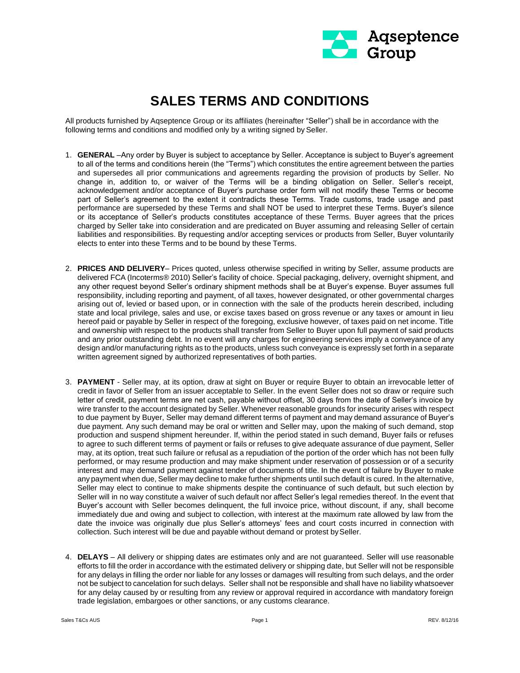

## **SALES TERMS AND CONDITIONS**

All products furnished by Aqseptence Group or its affiliates (hereinafter "Seller") shall be in accordance with the following terms and conditions and modified only by a writing signed by Seller.

- 1. **GENERAL** –Any order by Buyer is subject to acceptance by Seller. Acceptance is subject to Buyer's agreement to all of the terms and conditions herein (the "Terms") which constitutes the entire agreement between the parties and supersedes all prior communications and agreements regarding the provision of products by Seller. No change in, addition to, or waiver of the Terms will be a binding obligation on Seller. Seller's receipt, acknowledgement and/or acceptance of Buyer's purchase order form will not modify these Terms or become part of Seller's agreement to the extent it contradicts these Terms. Trade customs, trade usage and past performance are superseded by these Terms and shall NOT be used to interpret these Terms. Buyer's silence or its acceptance of Seller's products constitutes acceptance of these Terms. Buyer agrees that the prices charged by Seller take into consideration and are predicated on Buyer assuming and releasing Seller of certain liabilities and responsibilities. By requesting and/or accepting services or products from Seller, Buyer voluntarily elects to enter into these Terms and to be bound by these Terms.
- 2. **PRICES AND DELIVERY** Prices quoted, unless otherwise specified in writing by Seller, assume products are delivered FCA (Incoterms® 2010) Seller's facility of choice. Special packaging, delivery, overnight shipment, and any other request beyond Seller's ordinary shipment methods shall be at Buyer's expense. Buyer assumes full responsibility, including reporting and payment, of all taxes, however designated, or other governmental charges arising out of, levied or based upon, or in connection with the sale of the products herein described, including state and local privilege, sales and use, or excise taxes based on gross revenue or any taxes or amount in lieu hereof paid or payable by Seller in respect of the foregoing, exclusive however, of taxes paid on net income. Title and ownership with respect to the products shall transfer from Seller to Buyer upon full payment of said products and any prior outstanding debt. In no event will any charges for engineering services imply a conveyance of any design and/or manufacturing rights as to the products, unless such conveyance is expressly set forth in a separate written agreement signed by authorized representatives of both parties.
- 3. **PAYMENT** Seller may, at its option, draw at sight on Buyer or require Buyer to obtain an irrevocable letter of credit in favor of Seller from an issuer acceptable to Seller. In the event Seller does not so draw or require such letter of credit, payment terms are net cash, payable without offset, 30 days from the date of Seller's invoice by wire transfer to the account designated by Seller. Whenever reasonable grounds for insecurity arises with respect to due payment by Buyer, Seller may demand different terms of payment and may demand assurance of Buyer's due payment. Any such demand may be oral or written and Seller may, upon the making of such demand, stop production and suspend shipment hereunder. If, within the period stated in such demand, Buyer fails or refuses to agree to such different terms of payment or fails or refuses to give adequate assurance of due payment, Seller may, at its option, treat such failure or refusal as a repudiation of the portion of the order which has not been fully performed, or may resume production and may make shipment under reservation of possession or of a security interest and may demand payment against tender of documents of title. In the event of failure by Buyer to make any payment when due, Seller may decline to make further shipments until such default is cured. In the alternative, Seller may elect to continue to make shipments despite the continuance of such default, but such election by Seller will in no way constitute a waiver of such default nor affect Seller's legal remedies thereof. In the event that Buyer's account with Seller becomes delinquent, the full invoice price, without discount, if any, shall become immediately due and owing and subject to collection, with interest at the maximum rate allowed by law from the date the invoice was originally due plus Seller's attorneys' fees and court costs incurred in connection with collection. Such interest will be due and payable without demand or protest bySeller.
- 4. **DELAYS** All delivery or shipping dates are estimates only and are not guaranteed. Seller will use reasonable efforts to fill the order in accordance with the estimated delivery or shipping date, but Seller will not be responsible for any delays in filling the order nor liable for any losses or damages will resulting from such delays, and the order not be subject to cancelation for such delays. Seller shall not be responsible and shall have no liability whatsoever for any delay caused by or resulting from any review or approval required in accordance with mandatory foreign trade legislation, embargoes or other sanctions, or any customs clearance.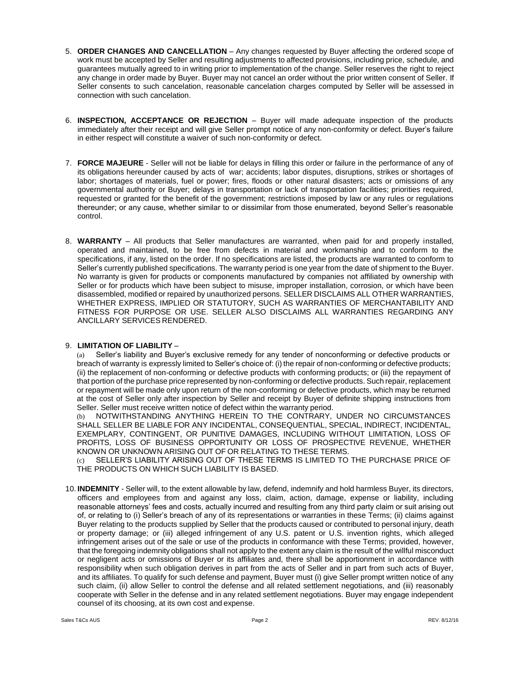- 5. **ORDER CHANGES AND CANCELLATION**  Any changes requested by Buyer affecting the ordered scope of work must be accepted by Seller and resulting adjustments to affected provisions, including price, schedule, and guarantees mutually agreed to in writing prior to implementation of the change. Seller reserves the right to reject any change in order made by Buyer. Buyer may not cancel an order without the prior written consent of Seller. If Seller consents to such cancelation, reasonable cancelation charges computed by Seller will be assessed in connection with such cancelation.
- 6. **INSPECTION, ACCEPTANCE OR REJECTION**  Buyer will made adequate inspection of the products immediately after their receipt and will give Seller prompt notice of any non-conformity or defect. Buyer's failure in either respect will constitute a waiver of such non-conformity or defect.
- 7. **FORCE MAJEURE**  Seller will not be liable for delays in filling this order or failure in the performance of any of its obligations hereunder caused by acts of war; accidents; labor disputes, disruptions, strikes or shortages of labor; shortages of materials, fuel or power; fires, floods or other natural disasters; acts or omissions of any governmental authority or Buyer; delays in transportation or lack of transportation facilities; priorities required, requested or granted for the benefit of the government; restrictions imposed by law or any rules or regulations thereunder; or any cause, whether similar to or dissimilar from those enumerated, beyond Seller's reasonable control.
- 8. **WARRANTY**  All products that Seller manufactures are warranted, when paid for and properly installed, operated and maintained, to be free from defects in material and workmanship and to conform to the specifications, if any, listed on the order. If no specifications are listed, the products are warranted to conform to Seller's currently published specifications. The warranty period is one year from the date of shipment to the Buyer. No warranty is given for products or components manufactured by companies not affiliated by ownership with Seller or for products which have been subject to misuse, improper installation, corrosion, or which have been disassembled, modified or repaired by unauthorized persons. SELLER DISCLAIMS ALL OTHER WARRANTIES, WHETHER EXPRESS, IMPLIED OR STATUTORY, SUCH AS WARRANTIES OF MERCHANTABILITY AND FITNESS FOR PURPOSE OR USE. SELLER ALSO DISCLAIMS ALL WARRANTIES REGARDING ANY ANCILLARY SERVICES RENDERED.

## 9. **LIMITATION OF LIABILITY** –

(a) Seller's liability and Buyer's exclusive remedy for any tender of nonconforming or defective products or breach of warranty is expressly limited to Seller's choice of: (i) the repair of non-conforming or defective products; (ii) the replacement of non-conforming or defective products with conforming products; or (iii) the repayment of that portion of the purchase price represented by non-conforming or defective products. Such repair, replacement or repayment will be made only upon return of the non-conforming or defective products, which may be returned at the cost of Seller only after inspection by Seller and receipt by Buyer of definite shipping instructions from Seller. Seller must receive written notice of defect within the warranty period.

(b) NOTWITHSTANDING ANYTHING HEREIN TO THE CONTRARY, UNDER NO CIRCUMSTANCES SHALL SELLER BE LIABLE FOR ANY INCIDENTAL, CONSEQUENTIAL, SPECIAL, INDIRECT, INCIDENTAL, EXEMPLARY, CONTINGENT, OR PUNITIVE DAMAGES, INCLUDING WITHOUT LIMITATION, LOSS OF PROFITS, LOSS OF BUSINESS OPPORTUNITY OR LOSS OF PROSPECTIVE REVENUE, WHETHER KNOWN OR UNKNOWN ARISING OUT OF OR RELATING TO THESE TERMS.

(c) SELLER'S LIABILITY ARISING OUT OF THESE TERMS IS LIMITED TO THE PURCHASE PRICE OF THE PRODUCTS ON WHICH SUCH LIABILITY IS BASED.

10. **INDEMNITY** - Seller will, to the extent allowable by law, defend, indemnify and hold harmless Buyer, its directors, officers and employees from and against any loss, claim, action, damage, expense or liability, including reasonable attorneys' fees and costs, actually incurred and resulting from any third party claim or suit arising out of, or relating to (i) Seller's breach of any of its representations or warranties in these Terms; (ii) claims against Buyer relating to the products supplied by Seller that the products caused or contributed to personal injury, death or property damage; or (iii) alleged infringement of any U.S. patent or U.S. invention rights, which alleged infringement arises out of the sale or use of the products in conformance with these Terms; provided, however, that the foregoing indemnity obligations shall not apply to the extent any claim is the result of the willful misconduct or negligent acts or omissions of Buyer or its affiliates and, there shall be apportionment in accordance with responsibility when such obligation derives in part from the acts of Seller and in part from such acts of Buyer, and its affiliates. To qualify for such defense and payment, Buyer must (i) give Seller prompt written notice of any such claim, (ii) allow Seller to control the defense and all related settlement negotiations, and (iii) reasonably cooperate with Seller in the defense and in any related settlement negotiations. Buyer may engage independent counsel of its choosing, at its own cost and expense.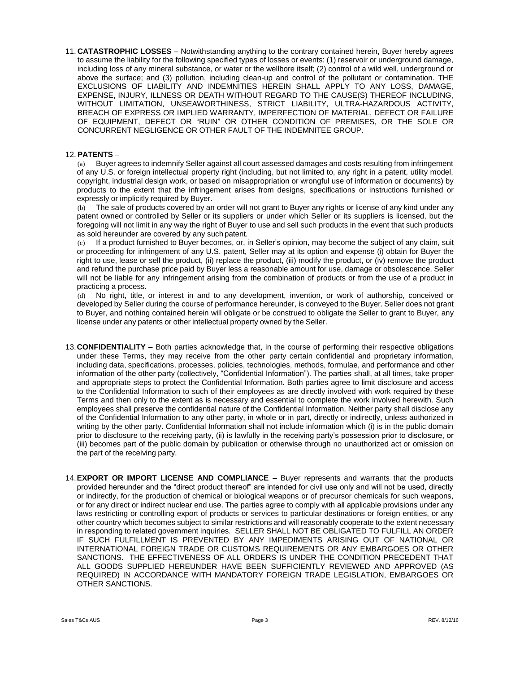11. **CATASTROPHIC LOSSES** – Notwithstanding anything to the contrary contained herein, Buyer hereby agrees to assume the liability for the following specified types of losses or events: (1) reservoir or underground damage, including loss of any mineral substance, or water or the wellbore itself; (2) control of a wild well, underground or above the surface; and (3) pollution, including clean-up and control of the pollutant or contamination. THE EXCLUSIONS OF LIABILITY AND INDEMNITIES HEREIN SHALL APPLY TO ANY LOSS, DAMAGE, EXPENSE, INJURY, ILLNESS OR DEATH WITHOUT REGARD TO THE CAUSE(S) THEREOF INCLUDING, WITHOUT LIMITATION, UNSEAWORTHINESS, STRICT LIABILITY, ULTRA-HAZARDOUS ACTIVITY, BREACH OF EXPRESS OR IMPLIED WARRANTY, IMPERFECTION OF MATERIAL, DEFECT OR FAILURE OF EQUIPMENT, DEFECT OR "RUIN" OR OTHER CONDITION OF PREMISES, OR THE SOLE OR CONCURRENT NEGLIGENCE OR OTHER FAULT OF THE INDEMNITEE GROUP.

## 12. **PATENTS** –

(a) Buyer agrees to indemnify Seller against all court assessed damages and costs resulting from infringement of any U.S. or foreign intellectual property right (including, but not limited to, any right in a patent, utility model, copyright, industrial design work, or based on misappropriation or wrongful use of information or documents) by products to the extent that the infringement arises from designs, specifications or instructions furnished or expressly or implicitly required by Buyer.

(b) The sale of products covered by an order will not grant to Buyer any rights or license of any kind under any patent owned or controlled by Seller or its suppliers or under which Seller or its suppliers is licensed, but the foregoing will not limit in any way the right of Buyer to use and sell such products in the event that such products as sold hereunder are covered by any such patent.

(c) If a product furnished to Buyer becomes, or, in Seller's opinion, may become the subject of any claim, suit or proceeding for infringement of any U.S. patent, Seller may at its option and expense (i) obtain for Buyer the right to use, lease or sell the product, (ii) replace the product, (iii) modify the product, or (iv) remove the product and refund the purchase price paid by Buyer less a reasonable amount for use, damage or obsolescence. Seller will not be liable for any infringement arising from the combination of products or from the use of a product in practicing a process.

(d) No right, title, or interest in and to any development, invention, or work of authorship, conceived or developed by Seller during the course of performance hereunder, is conveyed to the Buyer. Seller does not grant to Buyer, and nothing contained herein will obligate or be construed to obligate the Seller to grant to Buyer, any license under any patents or other intellectual property owned by the Seller.

- 13.**CONFIDENTIALITY** Both parties acknowledge that, in the course of performing their respective obligations under these Terms, they may receive from the other party certain confidential and proprietary information, including data, specifications, processes, policies, technologies, methods, formulae, and performance and other information of the other party (collectively, "Confidential Information"). The parties shall, at all times, take proper and appropriate steps to protect the Confidential Information. Both parties agree to limit disclosure and access to the Confidential Information to such of their employees as are directly involved with work required by these Terms and then only to the extent as is necessary and essential to complete the work involved herewith. Such employees shall preserve the confidential nature of the Confidential Information. Neither party shall disclose any of the Confidential Information to any other party, in whole or in part, directly or indirectly, unless authorized in writing by the other party. Confidential Information shall not include information which (i) is in the public domain prior to disclosure to the receiving party, (ii) is lawfully in the receiving party's possession prior to disclosure, or (iii) becomes part of the public domain by publication or otherwise through no unauthorized act or omission on the part of the receiving party.
- 14.**EXPORT OR IMPORT LICENSE AND COMPLIANCE**  Buyer represents and warrants that the products provided hereunder and the "direct product thereof" are intended for civil use only and will not be used, directly or indirectly, for the production of chemical or biological weapons or of precursor chemicals for such weapons, or for any direct or indirect nuclear end use. The parties agree to comply with all applicable provisions under any laws restricting or controlling export of products or services to particular destinations or foreign entities, or any other country which becomes subject to similar restrictions and will reasonably cooperate to the extent necessary in responding to related government inquiries. SELLER SHALL NOT BE OBLIGATED TO FULFILL AN ORDER IF SUCH FULFILLMENT IS PREVENTED BY ANY IMPEDIMENTS ARISING OUT OF NATIONAL OR INTERNATIONAL FOREIGN TRADE OR CUSTOMS REQUIREMENTS OR ANY EMBARGOES OR OTHER SANCTIONS. THE EFFECTIVENESS OF ALL ORDERS IS UNDER THE CONDITION PRECEDENT THAT ALL GOODS SUPPLIED HEREUNDER HAVE BEEN SUFFICIENTLY REVIEWED AND APPROVED (AS REQUIRED) IN ACCORDANCE WITH MANDATORY FOREIGN TRADE LEGISLATION, EMBARGOES OR OTHER SANCTIONS.